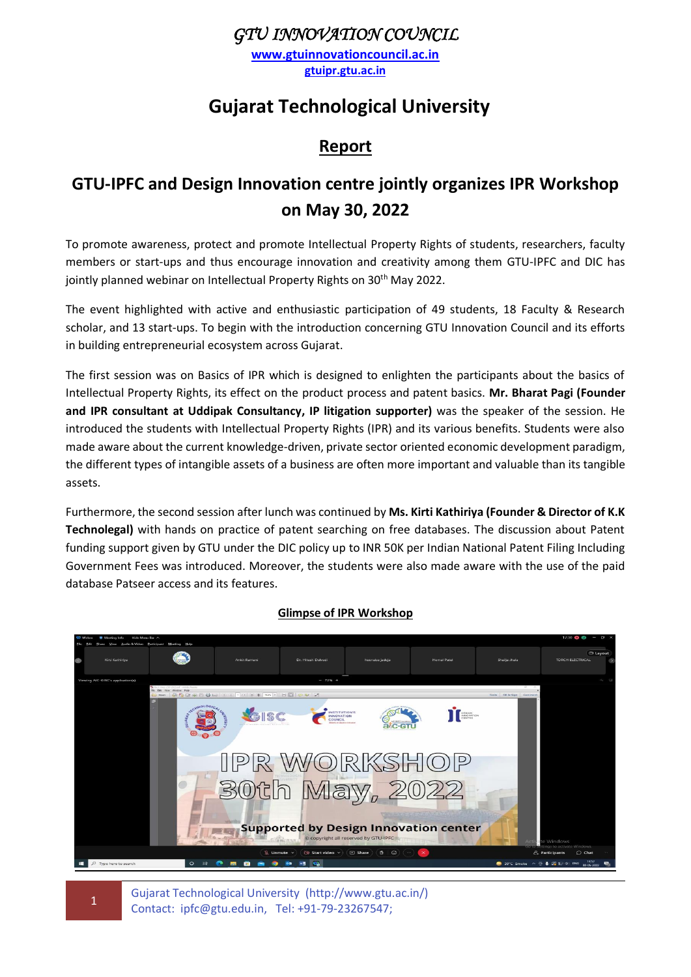### *GTU INNOVATION COUNCIL*

**[www.gtuinnovationcouncil.ac.in](http://www.gtuinnovationcouncil.ac.in/) gtuipr.gtu.ac.in**

# **Gujarat Technological University**

### **Report**

## **GTU-IPFC and Design Innovation centre jointly organizes IPR Workshop on May 30, 2022**

To promote awareness, protect and promote Intellectual Property Rights of students, researchers, faculty members or start-ups and thus encourage innovation and creativity among them GTU-IPFC and DIC has jointly planned webinar on Intellectual Property Rights on 30<sup>th</sup> May 2022.

The event highlighted with active and enthusiastic participation of 49 students, 18 Faculty & Research scholar, and 13 start-ups. To begin with the introduction concerning GTU Innovation Council and its efforts in building entrepreneurial ecosystem across Gujarat.

The first session was on Basics of IPR which is designed to enlighten the participants about the basics of Intellectual Property Rights, its effect on the product process and patent basics. **Mr. Bharat Pagi (Founder and IPR consultant at Uddipak Consultancy, IP litigation supporter)** was the speaker of the session. He introduced the students with Intellectual Property Rights (IPR) and its various benefits. Students were also made aware about the current knowledge-driven, private sector oriented economic development paradigm, the different types of intangible assets of a business are often more important and valuable than its tangible assets.

Furthermore, the second session after lunch was continued by **Ms. Kirti Kathiriya (Founder & Director of K.K Technolegal)** with hands on practice of patent searching on free databases. The discussion about Patent funding support given by GTU under the DIC policy up to INR 50K per Indian National Patent Filing Including Government Fees was introduced. Moreover, the students were also made aware with the use of the paid database Patseer access and its features.



#### **Glimpse of IPR Workshop**